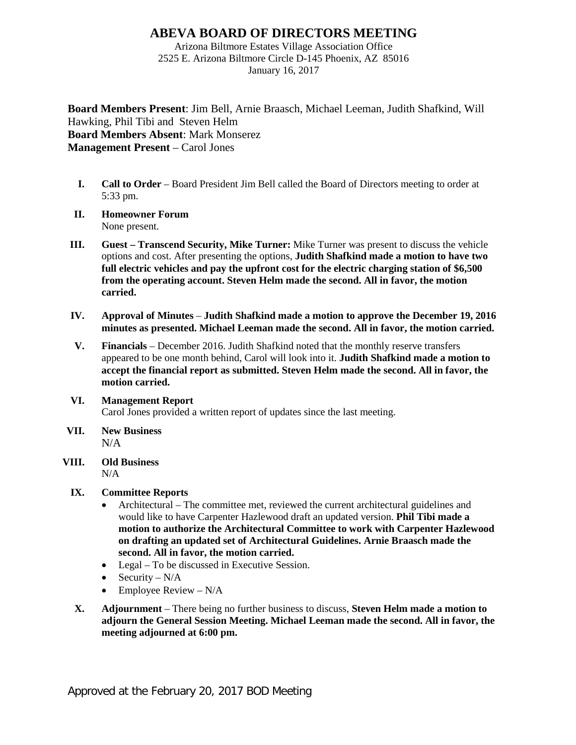## **ABEVA BOARD OF DIRECTORS MEETING**

Arizona Biltmore Estates Village Association Office 2525 E. Arizona Biltmore Circle D-145 Phoenix, AZ 85016 January 16, 2017

**Board Members Present**: Jim Bell, Arnie Braasch, Michael Leeman, Judith Shafkind, Will Hawking, Phil Tibi and Steven Helm **Board Members Absent**: Mark Monserez **Management Present** – Carol Jones

- **I. Call to Order** Board President Jim Bell called the Board of Directors meeting to order at 5:33 pm.
- **II. Homeowner Forum** None present.
- **III. Guest – Transcend Security, Mike Turner:** Mike Turner was present to discuss the vehicle options and cost. After presenting the options, **Judith Shafkind made a motion to have two full electric vehicles and pay the upfront cost for the electric charging station of \$6,500 from the operating account. Steven Helm made the second. All in favor, the motion carried.**
- **IV. Approval of Minutes Judith Shafkind made a motion to approve the December 19, 2016 minutes as presented. Michael Leeman made the second. All in favor, the motion carried.**
- **V. Financials** December 2016. Judith Shafkind noted that the monthly reserve transfers appeared to be one month behind, Carol will look into it. **Judith Shafkind made a motion to accept the financial report as submitted. Steven Helm made the second. All in favor, the motion carried.**
- **VI. Management Report** Carol Jones provided a written report of updates since the last meeting.
- **VII. New Business** N/A
- **VIII. Old Business**  $N/A$

## **IX. Committee Reports**

- Architectural The committee met, reviewed the current architectural guidelines and would like to have Carpenter Hazlewood draft an updated version. **Phil Tibi made a motion to authorize the Architectural Committee to work with Carpenter Hazlewood on drafting an updated set of Architectural Guidelines. Arnie Braasch made the second. All in favor, the motion carried.**
- Legal To be discussed in Executive Session.
- Security  $N/A$
- Employee Review  $-N/A$
- **X. Adjournment** There being no further business to discuss, **Steven Helm made a motion to adjourn the General Session Meeting. Michael Leeman made the second. All in favor, the meeting adjourned at 6:00 pm.**